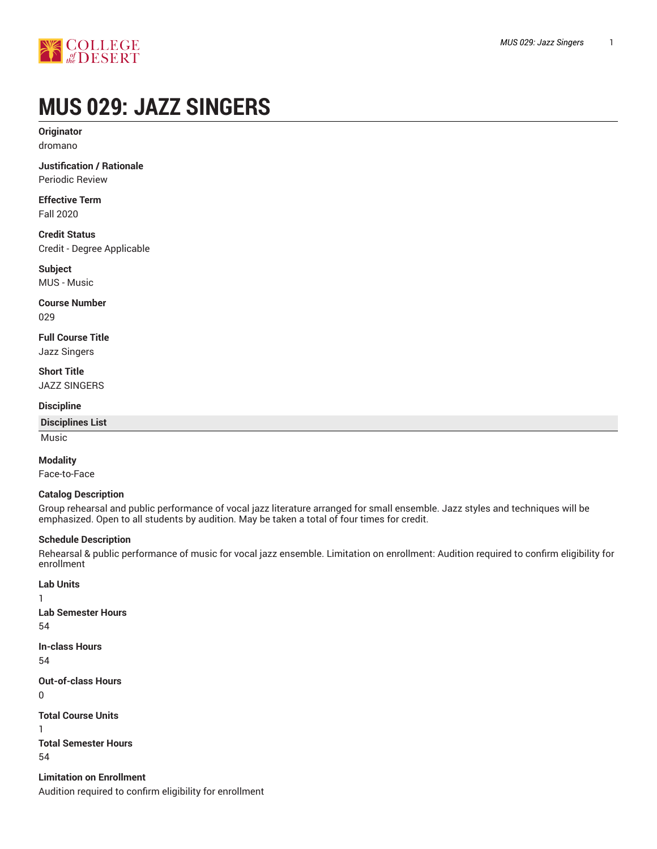

# **MUS 029: JAZZ SINGERS**

**Originator** dromano

**Justification / Rationale** Periodic Review

**Effective Term** Fall 2020

**Credit Status** Credit - Degree Applicable

**Subject** MUS - Music

**Course Number** 029

**Full Course Title** Jazz Singers

**Short Title** JAZZ SINGERS

**Discipline**

**Disciplines List**

Music

#### **Modality**

Face-to-Face

#### **Catalog Description**

Group rehearsal and public performance of vocal jazz literature arranged for small ensemble. Jazz styles and techniques will be emphasized. Open to all students by audition. May be taken a total of four times for credit.

#### **Schedule Description**

Rehearsal & public performance of music for vocal jazz ensemble. Limitation on enrollment: Audition required to confirm eligibility for enrollment

```
Lab Units
1
Lab Semester Hours
54
In-class Hours
54
Out-of-class Hours
0
Total Course Units
1
Total Semester Hours
54
Limitation on Enrollment
```
Audition required to confirm eligibility for enrollment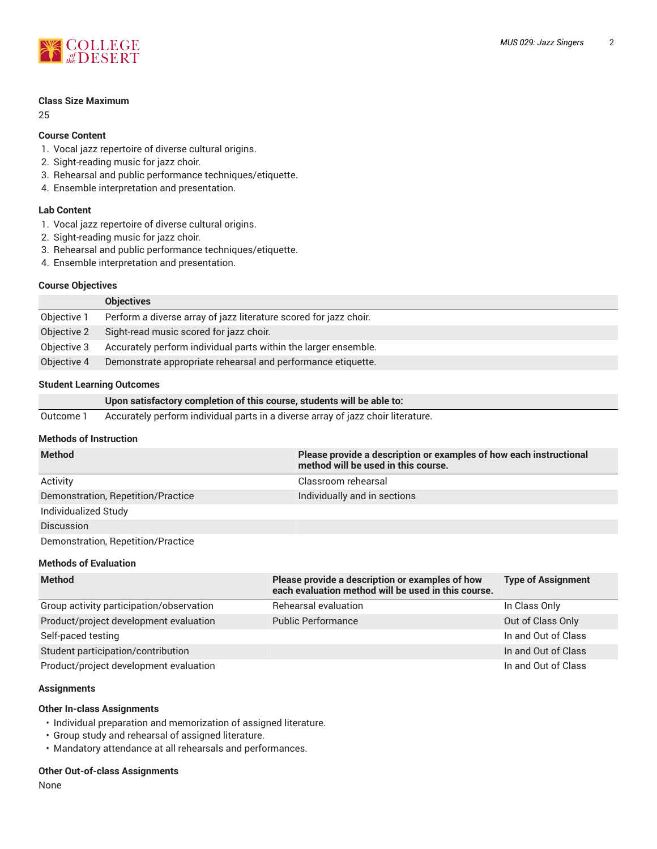

#### **Class Size Maximum**

25

#### **Course Content**

- 1. Vocal jazz repertoire of diverse cultural origins.
- 2. Sight-reading music for jazz choir.
- 3. Rehearsal and public performance techniques/etiquette.
- 4. Ensemble interpretation and presentation.

#### **Lab Content**

- 1. Vocal jazz repertoire of diverse cultural origins.
- 2. Sight-reading music for jazz choir.
- 3. Rehearsal and public performance techniques/etiquette.
- 4. Ensemble interpretation and presentation.

#### **Course Objectives**

|             | <b>Objectives</b>                                                 |
|-------------|-------------------------------------------------------------------|
| Objective 1 | Perform a diverse array of jazz literature scored for jazz choir. |
| Objective 2 | Sight-read music scored for jazz choir.                           |
| Objective 3 | Accurately perform individual parts within the larger ensemble.   |
| Objective 4 | Demonstrate appropriate rehearsal and performance etiquette.      |

#### **Student Learning Outcomes**

|           | Upon satisfactory completion of this course, students will be able to:           |
|-----------|----------------------------------------------------------------------------------|
| Outcome 1 | Accurately perform individual parts in a diverse array of jazz choir literature. |

#### **Methods of Instruction**

| <b>Method</b>                      | Please provide a description or examples of how each instructional<br>method will be used in this course. |
|------------------------------------|-----------------------------------------------------------------------------------------------------------|
| Activity                           | Classroom rehearsal                                                                                       |
| Demonstration, Repetition/Practice | Individually and in sections                                                                              |
| Individualized Study               |                                                                                                           |
| <b>Discussion</b>                  |                                                                                                           |
| Demonstration, Repetition/Practice |                                                                                                           |

#### **Methods of Evaluation**

| <b>Method</b>                            | Please provide a description or examples of how<br>each evaluation method will be used in this course. | <b>Type of Assignment</b> |
|------------------------------------------|--------------------------------------------------------------------------------------------------------|---------------------------|
| Group activity participation/observation | Rehearsal evaluation                                                                                   | In Class Only             |
| Product/project development evaluation   | <b>Public Performance</b>                                                                              | Out of Class Only         |
| Self-paced testing                       |                                                                                                        | In and Out of Class       |
| Student participation/contribution       |                                                                                                        | In and Out of Class       |
| Product/project development evaluation   |                                                                                                        | In and Out of Class       |

#### **Assignments**

#### **Other In-class Assignments**

- Individual preparation and memorization of assigned literature.
- Group study and rehearsal of assigned literature.
- Mandatory attendance at all rehearsals and performances.

#### **Other Out-of-class Assignments**

None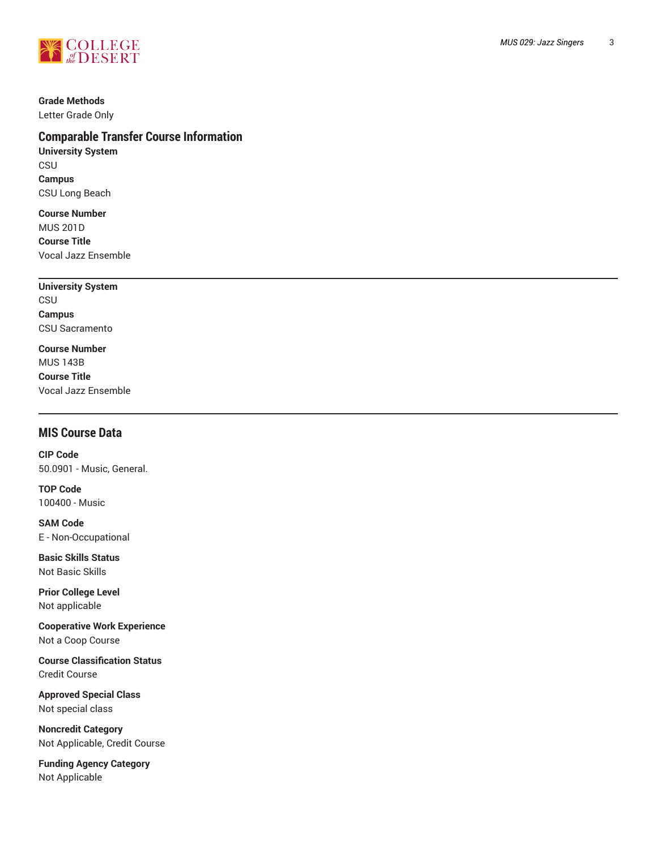

#### **Grade Methods**

Letter Grade Only

## **Comparable Transfer Course Information**

**University System** CSU **Campus** CSU Long Beach

**Course Number** MUS 201D **Course Title** Vocal Jazz Ensemble

## **University System CSU**

**Campus** CSU Sacramento

**Course Number** MUS 143B

**Course Title** Vocal Jazz Ensemble

### **MIS Course Data**

**CIP Code** 50.0901 - Music, General.

**TOP Code** 100400 - Music

**SAM Code** E - Non-Occupational

**Basic Skills Status** Not Basic Skills

**Prior College Level** Not applicable

**Cooperative Work Experience** Not a Coop Course

**Course Classification Status** Credit Course

**Approved Special Class** Not special class

**Noncredit Category** Not Applicable, Credit Course

**Funding Agency Category** Not Applicable